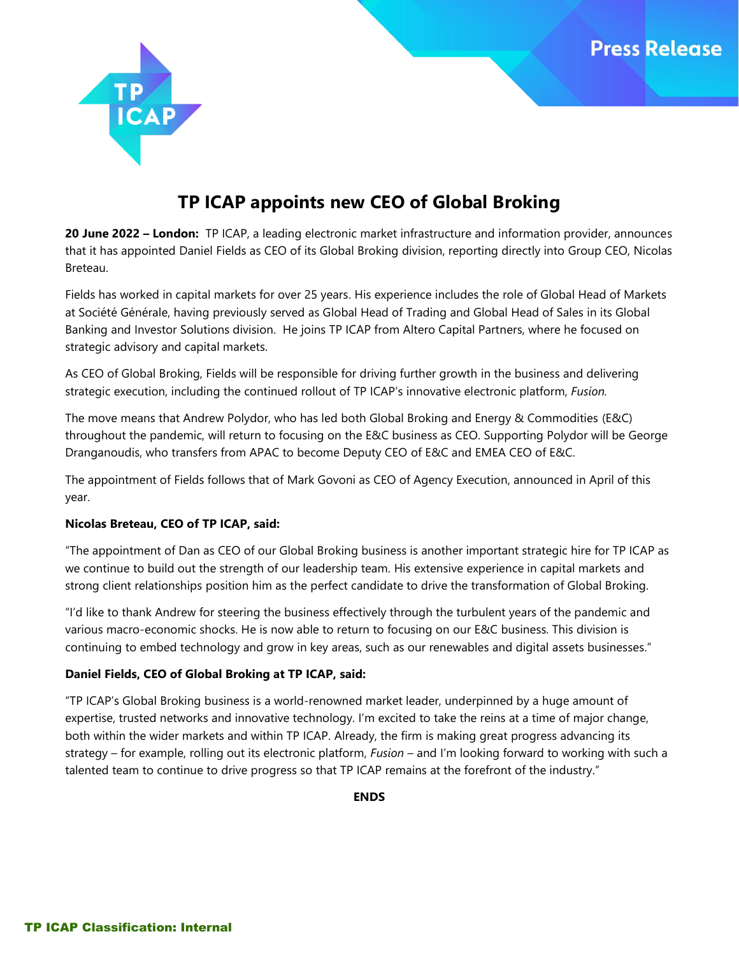

# **TP ICAP appoints new CEO of Global Broking**

**20 June 2022 – London:** TP ICAP, a leading electronic market infrastructure and information provider, announces that it has appointed Daniel Fields as CEO of its Global Broking division, reporting directly into Group CEO, Nicolas Breteau.

Fields has worked in capital markets for over 25 years. His experience includes the role of Global Head of Markets at Société Générale, having previously served as Global Head of Trading and Global Head of Sales in its Global Banking and Investor Solutions division. He joins TP ICAP from Altero Capital Partners, where he focused on strategic advisory and capital markets.

As CEO of Global Broking, Fields will be responsible for driving further growth in the business and delivering strategic execution, including the continued rollout of TP ICAP's innovative electronic platform, *Fusion.*

The move means that Andrew Polydor, who has led both Global Broking and Energy & Commodities (E&C) throughout the pandemic, will return to focusing on the E&C business as CEO. Supporting Polydor will be George Dranganoudis, who transfers from APAC to become Deputy CEO of E&C and EMEA CEO of E&C.

The appointment of Fields follows that of Mark Govoni as CEO of Agency Execution, announced in April of this year.

## **Nicolas Breteau, CEO of TP ICAP, said:**

"The appointment of Dan as CEO of our Global Broking business is another important strategic hire for TP ICAP as we continue to build out the strength of our leadership team. His extensive experience in capital markets and strong client relationships position him as the perfect candidate to drive the transformation of Global Broking.

"I'd like to thank Andrew for steering the business effectively through the turbulent years of the pandemic and various macro-economic shocks. He is now able to return to focusing on our E&C business. This division is continuing to embed technology and grow in key areas, such as our renewables and digital assets businesses."

# **Daniel Fields, CEO of Global Broking at TP ICAP, said:**

"TP ICAP's Global Broking business is a world-renowned market leader, underpinned by a huge amount of expertise, trusted networks and innovative technology. I'm excited to take the reins at a time of major change, both within the wider markets and within TP ICAP. Already, the firm is making great progress advancing its strategy – for example, rolling out its electronic platform, *Fusion* – and I'm looking forward to working with such a talented team to continue to drive progress so that TP ICAP remains at the forefront of the industry."

**ENDS**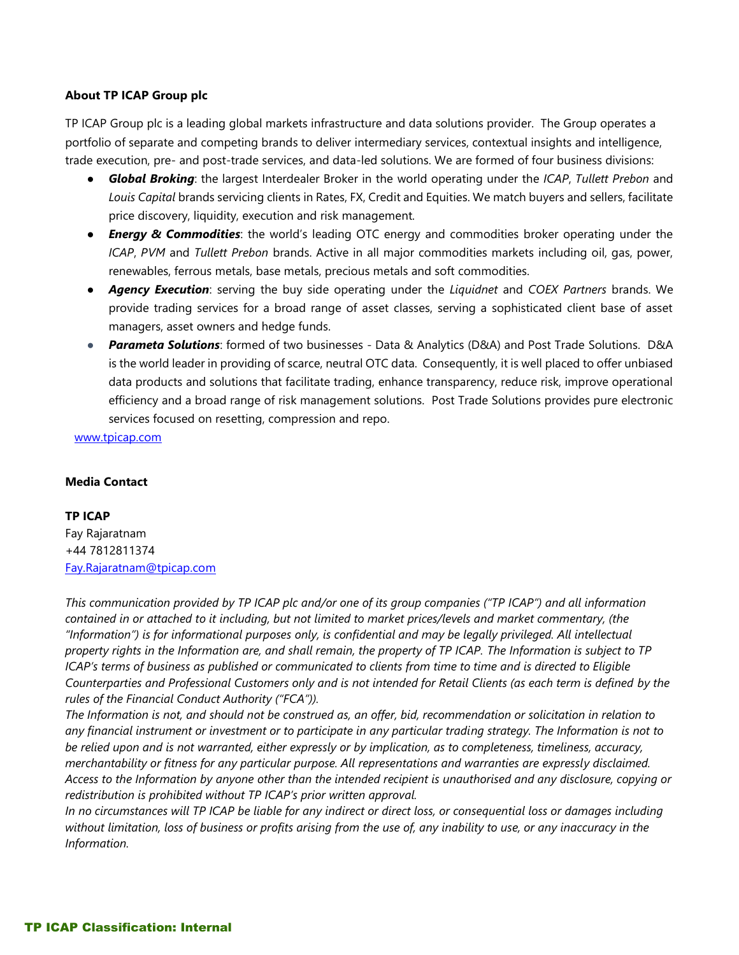### **About TP ICAP Group plc**

TP ICAP Group plc is a leading global markets infrastructure and data solutions provider. The Group operates a portfolio of separate and competing brands to deliver intermediary services, contextual insights and intelligence, trade execution, pre- and post-trade services, and data-led solutions. We are formed of four business divisions:

- *Global Broking*: the largest Interdealer Broker in the world operating under the *ICAP*, *Tullett Prebon* and *Louis Capital* brands servicing clients in Rates, FX, Credit and Equities. We match buyers and sellers, facilitate price discovery, liquidity, execution and risk management*.*
- *Energy & Commodities*: the world's leading OTC energy and commodities broker operating under the *ICAP*, *PVM* and *Tullett Prebon* brands. Active in all major commodities markets including oil, gas, power, renewables, ferrous metals, base metals, precious metals and soft commodities.
- *Agency Execution*: serving the buy side operating under the *Liquidnet* and *COEX Partners* brands. We provide trading services for a broad range of asset classes, serving a sophisticated client base of asset managers, asset owners and hedge funds.
- *Parameta Solutions*: formed of two businesses Data & Analytics (D&A) and Post Trade Solutions. D&A is the world leader in providing of scarce, neutral OTC data. Consequently, it is well placed to offer unbiased data products and solutions that facilitate trading, enhance transparency, reduce risk, improve operational efficiency and a broad range of risk management solutions. Post Trade Solutions provides pure electronic services focused on resetting, compression and repo.

[www.tpicap.com](http://www.tpicap.com/)

#### **Media Contact**

#### **TP ICAP**

Fay Rajaratnam +44 7812811374 [Fay.Rajaratnam@tpicap.com](mailto:Fay.Rajaratnam@tpicap.com)

*This communication provided by TP ICAP plc and/or one of its group companies ("TP ICAP") and all information contained in or attached to it including, but not limited to market prices/levels and market commentary, (the "Information") is for informational purposes only, is confidential and may be legally privileged. All intellectual property rights in the Information are, and shall remain, the property of TP ICAP. The Information is subject to TP ICAP's terms of business as published or communicated to clients from time to time and is directed to Eligible Counterparties and Professional Customers only and is not intended for Retail Clients (as each term is defined by the rules of the Financial Conduct Authority ("FCA")).* 

*The Information is not, and should not be construed as, an offer, bid, recommendation or solicitation in relation to any financial instrument or investment or to participate in any particular trading strategy. The Information is not to be relied upon and is not warranted, either expressly or by implication, as to completeness, timeliness, accuracy, merchantability or fitness for any particular purpose. All representations and warranties are expressly disclaimed. Access to the Information by anyone other than the intended recipient is unauthorised and any disclosure, copying or redistribution is prohibited without TP ICAP's prior written approval.*

*In no circumstances will TP ICAP be liable for any indirect or direct loss, or consequential loss or damages including without limitation, loss of business or profits arising from the use of, any inability to use, or any inaccuracy in the Information.*